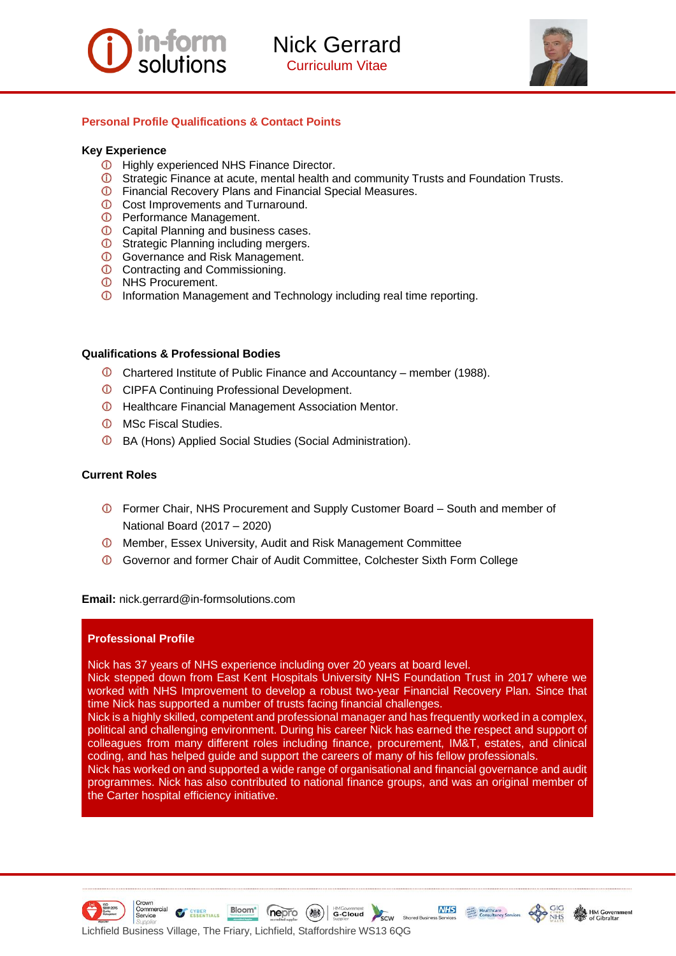

Nick Gerrard Curriculum Vitae



# **Personal Profile Qualifications & Contact Points**

### **Key Experience**

- **ID** Highly experienced NHS Finance Director.
- **C** Strategic Finance at acute, mental health and community Trusts and Foundation Trusts.
- **C** Financial Recovery Plans and Financial Special Measures.
- **Cost Improvements and Turnaround.**
- **D** Performance Management.
- **C** Capital Planning and business cases.
- **C** Strategic Planning including mergers.
- **C** Governance and Risk Management.
- **C** Contracting and Commissioning.
- **<sup>1</sup>** NHS Procurement.
- **Information Management and Technology including real time reporting.**

### **Qualifications & Professional Bodies**

- Chartered Institute of Public Finance and Accountancy member (1988).
- **CIPFA Continuing Professional Development.**
- **C** Healthcare Financial Management Association Mentor.
- *O* MSc Fiscal Studies.
- BA (Hons) Applied Social Studies (Social Administration).

## **Current Roles**

- Former Chair, NHS Procurement and Supply Customer Board South and member of National Board (2017 – 2020)
- Member, Essex University, Audit and Risk Management Committee
- Governor and former Chair of Audit Committee, Colchester Sixth Form College

#### **Email:** nick.gerrard@in-formsolutions.com

# **Professional Profile**

Nick has 37 years of NHS experience including over 20 years at board level.

Nick stepped down from East Kent Hospitals University NHS Foundation Trust in 2017 where we worked with NHS Improvement to develop a robust two-year Financial Recovery Plan. Since that time Nick has supported a number of trusts facing financial challenges.

Nick is a highly skilled, competent and professional manager and has frequently worked in a complex, political and challenging environment. During his career Nick has earned the respect and support of colleagues from many different roles including finance, procurement, IM&T, estates, and clinical coding, and has helped guide and support the careers of many of his fellow professionals.

Nick has worked on and supported a wide range of organisational and financial governance and audit programmes. Nick has also contributed to national finance groups, and was an original member of the Carter hospital efficiency initiative.







**NHS** 

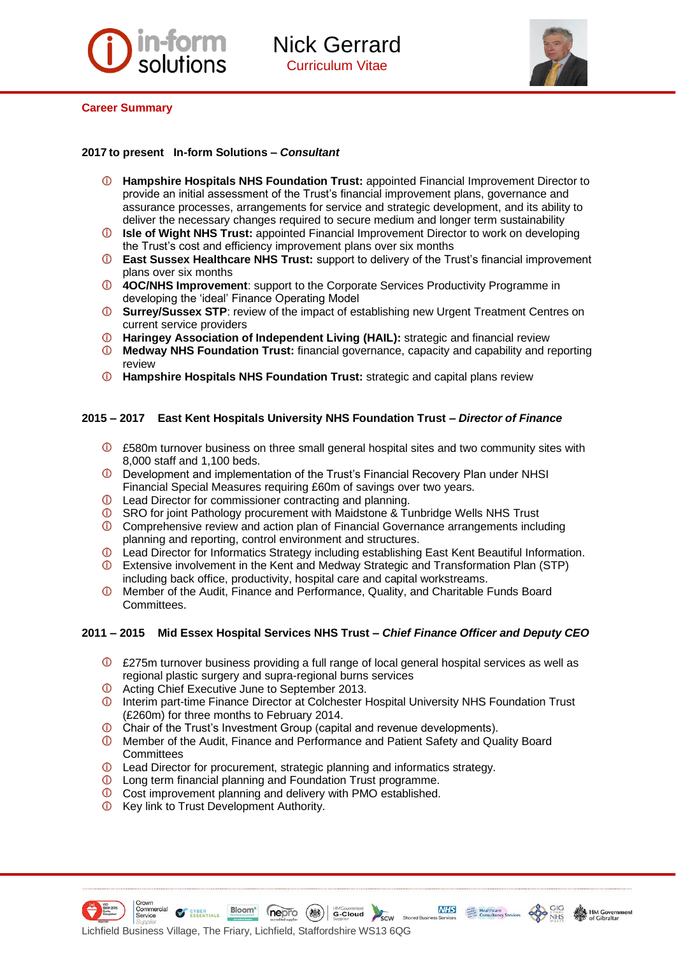



#### **Career Summary**

## **2017 to present In-form Solutions –** *Consultant*

- **Hampshire Hospitals NHS Foundation Trust:** appointed Financial Improvement Director to provide an initial assessment of the Trust's financial improvement plans, governance and assurance processes, arrangements for service and strategic development, and its ability to deliver the necessary changes required to secure medium and longer term sustainability
- **Isle of Wight NHS Trust:** appointed Financial Improvement Director to work on developing the Trust's cost and efficiency improvement plans over six months
- **East Sussex Healthcare NHS Trust:** support to delivery of the Trust's financial improvement plans over six months
- **4OC/NHS Improvement**: support to the Corporate Services Productivity Programme in developing the 'ideal' Finance Operating Model
- **Surrey/Sussex STP**: review of the impact of establishing new Urgent Treatment Centres on current service providers
- **Haringey Association of Independent Living (HAIL):** strategic and financial review
- $\odot$ **Medway NHS Foundation Trust:** financial governance, capacity and capability and reporting review
- **Hampshire Hospitals NHS Foundation Trust:** strategic and capital plans review

### **2015 – 2017 East Kent Hospitals University NHS Foundation Trust –** *Director of Finance*

- £580m turnover business on three small general hospital sites and two community sites with 8,000 staff and 1,100 beds.
- **D** Development and implementation of the Trust's Financial Recovery Plan under NHSI Financial Special Measures requiring £60m of savings over two years.
- **C** Lead Director for commissioner contracting and planning.
- SRO for joint Pathology procurement with Maidstone & Tunbridge Wells NHS Trust
- Comprehensive review and action plan of Financial Governance arrangements including planning and reporting, control environment and structures.
- <sup>1</sup> Lead Director for Informatics Strategy including establishing East Kent Beautiful Information.
- Extensive involvement in the Kent and Medway Strategic and Transformation Plan (STP) including back office, productivity, hospital care and capital workstreams.
- $\odot$ Member of the Audit, Finance and Performance, Quality, and Charitable Funds Board Committees.

# **2011 – 2015 Mid Essex Hospital Services NHS Trust –** *Chief Finance Officer and Deputy CEO*

- $\overline{O}$  £275m turnover business providing a full range of local general hospital services as well as regional plastic surgery and supra-regional burns services
- **O** Acting Chief Executive June to September 2013.
- **ID** Interim part-time Finance Director at Colchester Hospital University NHS Foundation Trust (£260m) for three months to February 2014.
- **Chair of the Trust's Investment Group (capital and revenue developments).**
- Member of the Audit, Finance and Performance and Patient Safety and Quality Board **Committees**
- **1** Lead Director for procurement, strategic planning and informatics strategy.
- Long term financial planning and Foundation Trust programme.
- Cost improvement planning and delivery with PMO established.
- *O* Key link to Trust Development Authority.

ESSENTIALS





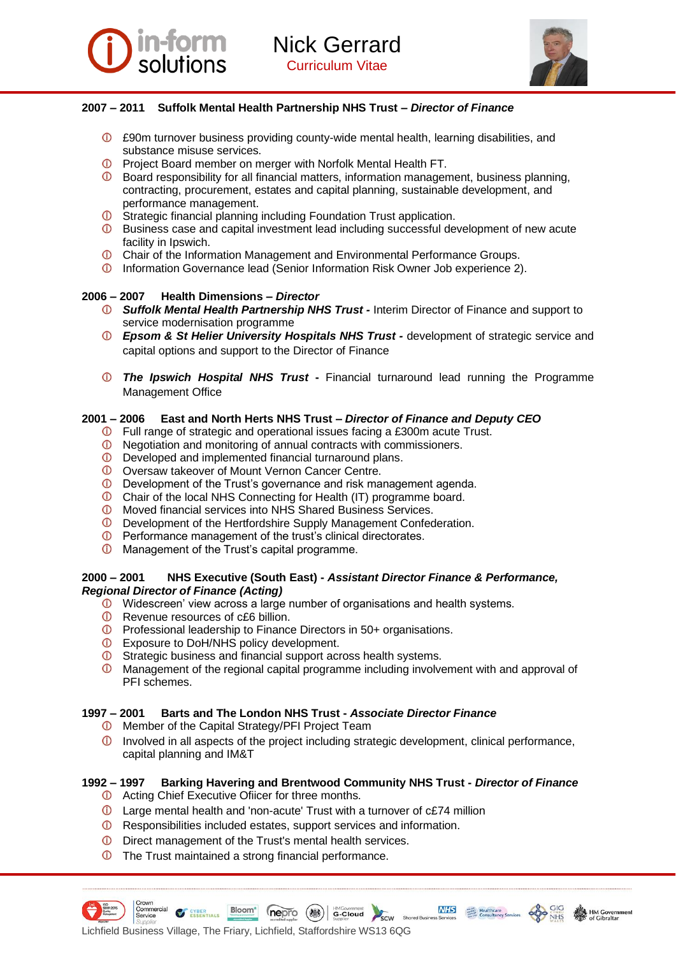



# **2007 – 2011 Suffolk Mental Health Partnership NHS Trust –** *Director of Finance*

- £90m turnover business providing county-wide mental health, learning disabilities, and substance misuse services.
- **C** Project Board member on merger with Norfolk Mental Health FT.
- **C** Board responsibility for all financial matters, information management, business planning, contracting, procurement, estates and capital planning, sustainable development, and performance management.
- **O** Strategic financial planning including Foundation Trust application.
- **C** Business case and capital investment lead including successful development of new acute facility in Ipswich.
- **C** Chair of the Information Management and Environmental Performance Groups.
- Information Governance lead (Senior Information Risk Owner Job experience 2).

# **2006 – 2007 Health Dimensions –** *Director*

- *Suffolk Mental Health Partnership NHS Trust -* Interim Director of Finance and support to service modernisation programme
- *Epsom & St Helier University Hospitals NHS Trust -* development of strategic service and capital options and support to the Director of Finance
- *The Ipswich Hospital NHS Trust* **-** Financial turnaround lead running the Programme Management Office

## **2001 – 2006 East and North Herts NHS Trust –** *Director of Finance and Deputy CEO*

- Full range of strategic and operational issues facing a £300m acute Trust.
- Negotiation and monitoring of annual contracts with commissioners.
- **C** Developed and implemented financial turnaround plans.
- Oversaw takeover of Mount Vernon Cancer Centre.
- Development of the Trust's governance and risk management agenda.
- Chair of the local NHS Connecting for Health (IT) programme board.
- Moved financial services into NHS Shared Business Services.
- Development of the Hertfordshire Supply Management Confederation.
- **C** Performance management of the trust's clinical directorates.
- **C** Management of the Trust's capital programme.

#### **2000 – 2001 NHS Executive (South East) -** *Assistant Director Finance & Performance, Regional Director of Finance (Acting)*

- $\overline{O}$  Widescreen' view across a large number of organisations and health systems.
- **C** Revenue resources of c£6 billion.
- Professional leadership to Finance Directors in 50+ organisations.
- **C** Exposure to DoH/NHS policy development.
- $\Phi$  Strategic business and financial support across health systems.
- $\odot$ Management of the regional capital programme including involvement with and approval of PFI schemes.

# **1997 – 2001 Barts and The London NHS Trust -** *Associate Director Finance*

- **C** Member of the Capital Strategy/PFI Project Team
- $\overline{0}$  Involved in all aspects of the project including strategic development, clinical performance, capital planning and IM&T

# **1992 – 1997 Barking Havering and Brentwood Community NHS Trust -** *Director of Finance*

- **C** Acting Chief Executive Ofiicer for three months.
- Large mental health and 'non-acute' Trust with a turnover of c£74 million
- Responsibilities included estates, support services and information.
- **D** Direct management of the Trust's mental health services.
- **The Trust maintained a strong financial performance.**





**NHS**